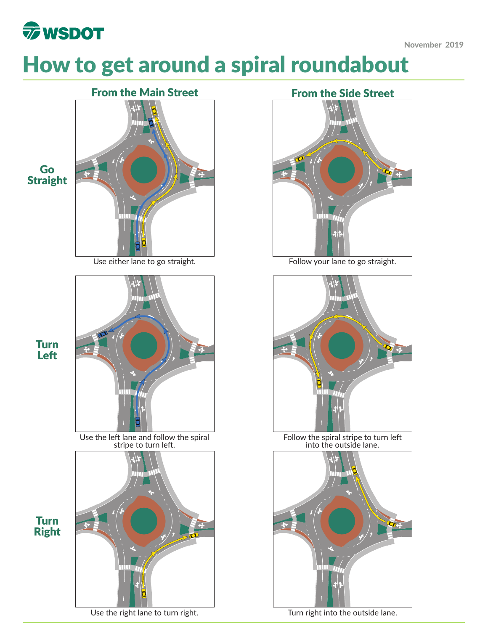

# How to get around a spiral roundabout





Use the left lane and follow the spiral Follow the spiral stripe to turn left



## Turn Right

Turn Left



into the outside lane.



Use the right lane to turn right. Turn right into the outside lane.